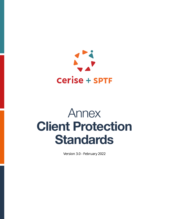

# Annex Client Protection **Standards**

Version 3.0 - February 2022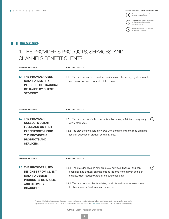Entry: Minimum requirements for (E) adequate client protection

 $\left( P \right)$ 

 $\mathbf{A}$ 

**Progress:** More rigorous requirements to demonstrate progress toward advanced practice

Advanced: Advanced requirements for good client protection

## **IIIIIIIII STANDARD**

## 1. THE PROVIDER'S PRODUCTS, SERVICES, AND CHANNELS BENEFIT CLIENTS.

| <b>ESSENTIAL PRACTICE</b> |                                                                                                                                                                               | <b>INDICATOR / DETAILS</b>                                                                                                                                                                                                                                                                                                         |                                                 |
|---------------------------|-------------------------------------------------------------------------------------------------------------------------------------------------------------------------------|------------------------------------------------------------------------------------------------------------------------------------------------------------------------------------------------------------------------------------------------------------------------------------------------------------------------------------|-------------------------------------------------|
|                           | <b>1.1 THE PROVIDER USES</b><br><b>DATA TO IDENTIFY</b><br><b>PATTERNS OF FINANCIAL</b><br><b>BEHAVIOR BY CLIENT</b><br><b>SEGMENT.</b>                                       | 1.1.1 The provider analyzes product use (types and frequency) by demographic<br>and socioeconomic segments of its clients.                                                                                                                                                                                                         |                                                 |
|                           | <b>ESSENTIAL PRACTICE</b>                                                                                                                                                     | <b>INDICATOR / DETAILS</b>                                                                                                                                                                                                                                                                                                         |                                                 |
|                           | <b>1.2 THE PROVIDER</b><br><b>COLLECTS CLIENT</b><br><b>FEEDBACK ON THEIR</b><br><b>EXPERIENCES USING</b><br><b>THE PROVIDER'S</b><br><b>PRODUCTS AND</b><br><b>SERVICES.</b> | 1.2.1 The provider conducts client satisfaction surveys. Minimum frequency:<br>every other year.<br>1.2.2 The provider conducts interviews with dormant and/or exiting clients to<br>look for evidence of product design failures.                                                                                                 | $\blacksquare$                                  |
|                           | <b>ESSENTIAL PRACTICE</b>                                                                                                                                                     | <b>INDICATOR / DETAILS</b>                                                                                                                                                                                                                                                                                                         |                                                 |
|                           | <b>1.3 THE PROVIDER USES</b><br><b>INSIGHTS FROM CLIENT</b><br><b>DATA TO DESIGN</b><br>PRODUCTS, SERVICES,<br><b>AND DELIVERY</b><br><b>CHANNELS.</b>                        | 1.3.1 The provider designs new products, services (financial and non-<br>financial), and delivery channels using insights from market and pilot<br>studies, client feedback, and client outcomes data.<br>1.3.2 The provider modifies its existing products and services in response<br>to clients' needs, feedback, and outcomes. | $\left[ \begin{array}{c} A \end{array} \right]$ |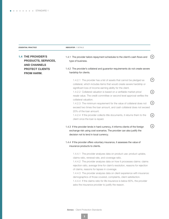**ESSENTIAL PRACTICE INDICATOR / DETAILS** 

| <b>1.4 THE PROVIDER'S</b><br>PRODUCTS, SERVICES,<br><b>AND CHANNELS</b><br><b>PROTECT CLIENTS</b><br><b>FROM HARM.</b> | 1.4.1 The provider tailors repayment schedules to the client's cash flows and<br>type of business.<br>1.4.2 The provider's collateral and guarantor requirements do not create severe<br>hardship for clients.                                                                                                                                                                                                                                                                                                                                                                                                                                                                    | $\epsilon$ )                                   |
|------------------------------------------------------------------------------------------------------------------------|-----------------------------------------------------------------------------------------------------------------------------------------------------------------------------------------------------------------------------------------------------------------------------------------------------------------------------------------------------------------------------------------------------------------------------------------------------------------------------------------------------------------------------------------------------------------------------------------------------------------------------------------------------------------------------------|------------------------------------------------|
|                                                                                                                        | 1.4.2.1 The provider has a list of assets that cannot be pledged as<br>collateral, which includes items that would create severe hardship or<br>significant loss of income earning ability for the client.<br>1.4.2.2 Collateral valuation is based on a verifiable market price/<br>resale value. The credit committee or second level approval verifies the<br>collateral valuation.<br>1.4.2.3 The minimum requirement for the value of collateral does not<br>exceed two times the loan amount, and cash collateral does not exceed<br>20% of the loan amount.<br>1.4.2.4 If the provider collects title documents, it returns them to the<br>client once the loan is repaid. | $(\mathsf{P})$<br>(A)<br>(A)<br>$(\mathsf{e})$ |
|                                                                                                                        | 1.4.3 If the provider lends in hard currency, it informs clients of the foreign<br>exchange risk using cost scenarios. The provider can also justify the<br>decision not to lend in local currency.                                                                                                                                                                                                                                                                                                                                                                                                                                                                               | $\binom{A}{b}$                                 |
|                                                                                                                        | 1.4.4 If the provider offers voluntary insurance, it assesses the value of<br>insurance products to clients.                                                                                                                                                                                                                                                                                                                                                                                                                                                                                                                                                                      |                                                |
|                                                                                                                        | 1.4.4.1 The provider analyzes data on product use: product uptake,<br>claims ratio, renewal rate, and coverage ratio.<br>1.4.4.2 The provider analyzes data on how it processes claims: claims<br>rejection ratio, average time for claim's resolution, reasons for rejection<br>of claims, reasons for lapses in coverage.<br>1.4.4.3 The provider analyzes data on client experience with insurance:<br>demographics of those covered, complaints, client satisfaction.<br>1.4.4.4 If the claims ratio for life insurance is below 60%, the provider<br>asks the insurance provider to justify the reason.                                                                      |                                                |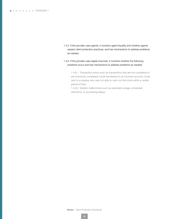- 1.4.5 If the provider uses agents, it monitors agent liquidity and whether agents respect client protection practices, and has mechanisms to address problems as needed.
- 1.4.6 If the provider uses digital channels, it monitors whether the following problems occur and has mechanisms to address problems as needed:

1.4.6.1 Transaction errors such as transactions that are not completed or are incorrectly completed; funds transferred to an incorrect account; funds sent to a receiver who was not able to cash out the funds within a certain period of time.

1.4.6.2 System malfunctions such as extended outage, scheduled downtime, or processing delays.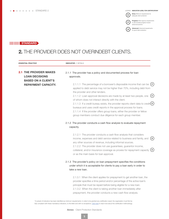Entry: Minimum requirements for ( E ) adequate client protection

 $\mathbf{A}$ 

Progress: More rigorous requirements

 $(P)$ to demonstrate progress toward advanced practice

**Advanced:** Advanced requirements<br>for good client protection

## **IIIIIIIIII STANDARD**

# 2. THE PROVIDER DOES NOT OVERINDEBT CLIENTS.

| <b>ESSENTIAL PRACTICE</b>                                | <b>INDICATOR / DETAILS</b>                                                                                                                                                                                                                                                                                                                                                                                                                                                                                                                                                                                                      |
|----------------------------------------------------------|---------------------------------------------------------------------------------------------------------------------------------------------------------------------------------------------------------------------------------------------------------------------------------------------------------------------------------------------------------------------------------------------------------------------------------------------------------------------------------------------------------------------------------------------------------------------------------------------------------------------------------|
| <b>2.1 THE PROVIDER MAKES</b><br><b>LOAN DECISIONS</b>   | 2.1.1 The provider has a policy and documented process for loan<br>approvals.                                                                                                                                                                                                                                                                                                                                                                                                                                                                                                                                                   |
| <b>BASED ON A CLIENT'S</b><br><b>REPAYMENT CAPACITY.</b> | 2.1.1.1 The percentage of a borrower's disposable income that can be $(P)$<br>applied to debt service may not be higher than 70%, including debt from<br>the provider and other lenders.<br>2.1.1.2 Loan approval decisions are made by at least two people, one<br>of whom does not interact directly with the client.<br>2.1.1.3 If a credit bureau exists, the provider reports client data to credit $(E)$<br>bureaus and uses credit reports in the approval process for loans.<br>2.1.1.4 If the provider offers group loans, either the provider or fellow<br>group members conduct due diligence for each group member. |
|                                                          | 2.1.2 The provider conducts a cash flow analysis to evaluate repayment<br>capacity.                                                                                                                                                                                                                                                                                                                                                                                                                                                                                                                                             |
|                                                          | 2.1.2.1 The provider conducts a cash flow analysis that considers<br>( E )<br>income, expenses and debt service related to business and family, and<br>any other sources of revenue, including informal sources.<br>2.1.2.2 The provider does not use guarantees, guarantor income,<br>(E)<br>collateral, and/or insurance coverage as proxies for repayment capacity<br>or as the main basis for loan approval.                                                                                                                                                                                                                |
|                                                          | 2.1.3 The provider's policy on loan prepayment specifies the conditions<br>under which it is acceptable for clients to pay a loan early in order to<br>take a new loan.                                                                                                                                                                                                                                                                                                                                                                                                                                                         |
|                                                          | 2.1.3.1 When the client applies for prepayment to get another loan, the<br>provider specifies a time period and/or percentage of the active loan's<br>principle that must be repaid before being eligible for a new loan.<br>2.1.3.2 When the client is taking another loan immediately after<br>prepayment, the provider conducts a new cash flow analysis.                                                                                                                                                                                                                                                                    |

\*A subset of indicators has been identified as minimum requirements: in order to be granted any certification result, the organization must first be fully compliant with these mandatory indicators, to the letter and with no exceptions. [Click here](https://sptf.info/images/Client_Protection_Certification_framework_final.pdf) to read more about the certification methodology.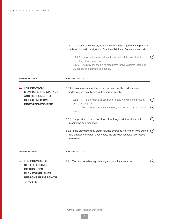|                                                                                 | 2.1.4 If the loan approval analysis is done through an algorithm, the provider<br>reviews how well the algorithm functions. Minimum frequency: annually                                                            |                         |
|---------------------------------------------------------------------------------|--------------------------------------------------------------------------------------------------------------------------------------------------------------------------------------------------------------------|-------------------------|
|                                                                                 | 2.1.4.1 The provider reviews the effectiveness of the algorithm for<br>predicting client repayment.<br>2.1.4.2 The provider checks its algorithms for bias against Protected<br>Categories and corrects as needed. | $\mathbf{A}$            |
| <b>ESSENTIAL PRACTICE</b>                                                       | <b>INDICATOR / DETAILS</b>                                                                                                                                                                                         |                         |
| <b>2.2 THE PROVIDER</b><br><b>MONITORS THE MARKET</b><br><b>AND RESPONDS TO</b> | 2.2.1 Senior management monitors portfolio quality to identify over-<br>indebtedness risk. Minimum frequency: monthly                                                                                              |                         |
| <b>HEIGHTENED OVER-</b><br><b>INDEBTEDNESS RISK.</b>                            | 22.2.1.1 The provider analyzes portfolio quality by branch, product,<br>and client segment.<br>2.2.1.2 The provider tracks restructured, rescheduled, or refinanced<br>loans.                                      | ( ≡ )<br>$(\mathsf{P})$ |
|                                                                                 | 2.2.2 The provider defines PAR levels that trigger additional internal<br>monitoring and response.                                                                                                                 | [E)                     |
|                                                                                 | 2.2.3 If the provider's total credit risk has averaged more than 10% during<br>any quarter in the past three years, the provider has taken corrective<br>measures.                                                 | (A)                     |
|                                                                                 |                                                                                                                                                                                                                    |                         |

| <b>ESSENTIAL PRACTICE</b>                                                                                                                           | <b>INDICATOR / DETAILS</b>                                      |               |
|-----------------------------------------------------------------------------------------------------------------------------------------------------|-----------------------------------------------------------------|---------------|
| <b>2.3 THE PROVIDER'S</b><br><b>STRATEGIC AND/</b><br><b>OR BUSINESS</b><br><b>PLAN ESTABLISHES</b><br><b>RESPONSIBLE GROWTH</b><br><b>TARGETS.</b> | 2.3.1 The provider adjusts growth targets to market saturation. | $[\mathsf{P}$ |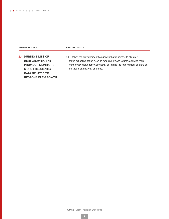ESSENTIAL PRACTICE **INDICATOR** / DETAILS

2.4 DURING TIMES OF HIGH GROWTH, THE PROVIDER MONITORS MORE FREQUENTLY DATA RELATED TO RESPONSIBLE GROWTH.

2.4.1 When the provider identifies growth that is harmful to clients, it takes mitigating action such as reducing growth targets, applying more conservative loan approval criteria, or limiting the total number of loans an individual can have at one time.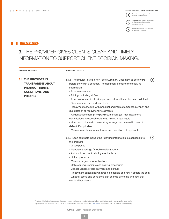Entry: Minimum requirements for (E) adequate client protection

 $\left( P \right)$ 

 $\boldsymbol{\mathsf{A}}$ 

**Progress:** More rigorous requirements

to demonstrate progress toward advanced practice

Advanced: Advanced requirements for good client protection

## **IIIIIIIII STANDARD**

# 3. THE PROVIDER GIVES CLIENTS CLEAR AND TIMELY INFORMATION TO SUPPORT CLIENT DECISION MAKING.

| <b>ESSENTIAL PRACTICE</b>                                                                                                    | <b>INDICATOR / DETAILS</b>                                                                                                                                                                                                                                                                                                                                                                                                                                                                                                                                                                                                                                                                                                                                         |    |
|------------------------------------------------------------------------------------------------------------------------------|--------------------------------------------------------------------------------------------------------------------------------------------------------------------------------------------------------------------------------------------------------------------------------------------------------------------------------------------------------------------------------------------------------------------------------------------------------------------------------------------------------------------------------------------------------------------------------------------------------------------------------------------------------------------------------------------------------------------------------------------------------------------|----|
| <b>3.1 THE PROVIDER IS</b><br><b>TRANSPARENT ABOUT</b><br><b>PRODUCT TERMS,</b><br><b>CONDITIONS, AND</b><br><b>PRICING.</b> | 3.1.1 The provider gives a Key Facts Summary Document to borrowers<br>before they sign a contract. The document contains the following<br>information:<br>- Total loan amount<br>- Pricing, including all fees<br>- Total cost of credit: all principal, interest, and fees plus cash collateral<br>- Disbursement date and loan term<br>- Repayment schedule with principal and interest amounts, number, and<br>due dates of all repayment installments<br>- All deductions from principal disbursement (eg: first installment,<br>commissions, fees, cash collateral, taxes), if applicable<br>- How cash collateral / manadatory savings can be used in case of<br>default, if applicable<br>- Moratorium interest rates, terms, and conditions, if applicable | E) |
|                                                                                                                              | 3.1.2 Loan contracts include the following information, as applicable to<br>the product:<br>- Grace period<br>- Mandatory savings / mobile wallet amount<br>- Automatic account debiting mechanisms<br>- Linked products<br>- Member or guarantor obligations<br>- Collateral requirements and seizing procedures<br>- Consequences of late payment and default<br>- Prepayment conditions: whether it is possible and how it affects the cost<br>- Whether terms and conditions can change over time and how that<br>would affect clients                                                                                                                                                                                                                         | P  |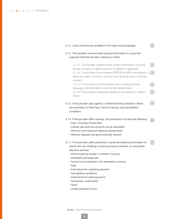| 3.1.3 Loan contracts are available in the major local languages.                                                                                                                                                                                                                                     | E                  |
|------------------------------------------------------------------------------------------------------------------------------------------------------------------------------------------------------------------------------------------------------------------------------------------------------|--------------------|
| 3.1.4 The provider communicates product information in a way that<br>supports informed decision making by clients.                                                                                                                                                                                   |                    |
| 3.1.4.1 The provider publishes basic product information, including<br>pricing, at branch or agent locations, or digitally as applicable.<br>3.1.4.2 The provider communicates APR/EIR (or MPR if the majority of<br>loans are under 3 months) in the Key Facts Summary and/or the loan<br>contract. | P<br>( A           |
| 3.1.4.3 The provider's communications are in simple and local<br>language; oral information is used for less literate clients.<br>3.1.4.4 The provider's marketing materials do not deceive or mislead<br>clients.                                                                                   | Е<br>$\widehat{P}$ |
| 3.1.5 If the provider uses agents, it verifies that they provide to clients<br>documentation of their fees, terms of service, and cancellation<br>conditions.                                                                                                                                        |                    |
| 3.1.6 If the provider offers savings, documentation includes the following:<br>- Fees, including closure fees<br>- Interest rate and how amounts will be calculated<br>- Minimum and maximum balance requirements<br>- Whether deposits are governmentally insured                                   | Е                  |
| 3.1.7 If the provider offers payments, it gives the following information to                                                                                                                                                                                                                         |                    |

 $\widehat{\phantom{m}}$ 

- Estimated exchange rate
- Amount to be received in the destination currency
- Fees
- Instructions for collecting payment
- Cancellation conditions
- Instructions for resolving errors
- Transaction confirmation
- Taxes
- Linked products (if any)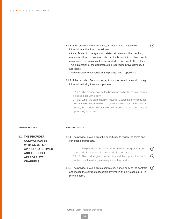3.1.8 If the provider offers insurance, it gives clients the following information at the time of enrollment:

- A certificate of coverage which states, at minimum, the premium, amount and term of coverage, who are the beneficiaires, which events are covered, any major exclusions, and when and how to file a claim - An explanation of the documentation required to prove damage, if

 $\left( \mathsf{E}\right)$ 

applicable

- Terms related to cancellation and prepayment, if applicable"

3.1.9 If the provider offers insurance, it provides beneficiaries with timely information during the claims process.

3.1.9.1 The provider notifies the beneficiary within 30 days of making a decision about the claim.

3.1.9.2 When the claim decision results in a settlement, the provider notifies the beneficiary within 30 days of the settlement. If the claim is denied, the provider notifies the beneficiary of the reason and gives an opportunity for appeal.

| <b>ESSENTIAL PRACTICE</b>                                                                                          | <b>INDICATOR / DETAILS</b>                                                                                                                                                                                                                                             |                                   |
|--------------------------------------------------------------------------------------------------------------------|------------------------------------------------------------------------------------------------------------------------------------------------------------------------------------------------------------------------------------------------------------------------|-----------------------------------|
| <b>3.2 THE PROVIDER</b><br><b>COMMUNICATES</b>                                                                     | 3.2.1 The provider gives clients the opportunity to review the terms and<br>conditions of products.                                                                                                                                                                    |                                   |
| <b>WITH CLIENTS AT</b><br><b>APPROPRIATE TIMES</b><br><b>AND THROUGH</b><br><b>APPROPRIATE</b><br><b>CHANNELS.</b> | 3.2.1.1 The provider offers a channel for clients to ask questions and<br>receive additional information prior to signing contracts.<br>3.2.1.2 The provider gives clients notice and the opportunity to opt<br>out before automatically renewing a voluntary product. | $\left( $ E $\right)$<br>$\Box$ A |
|                                                                                                                    | 3.2.2 The provider gives clients a completed, signed copy of the contract<br>and makes the contract accessible anytime in an online account or in<br>physical form.                                                                                                    | [E]                               |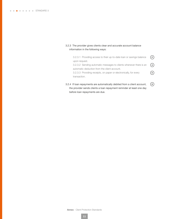#### 3.2.3 The provider gives clients clear and accurate account balance information in the following ways:

| 3.2.3.1 Providing access to their up-to-date loan or savings balance     | (P) |
|--------------------------------------------------------------------------|-----|
| upon request.                                                            |     |
| 3.2.3.2 Sending automatic messages to clients whenever there is an $(A)$ |     |
| automatic deduction from the client account.                             |     |
| 3.2.3.3 Providing receipts, on paper or electronically, for every        | E)  |
| transaction.                                                             |     |
|                                                                          |     |
|                                                                          |     |

3.2.4 If loan repayments are automatically debited from a client account,  $(E)$ the provider sends clients a loan repayment reminder at least one day before loan repayments are due.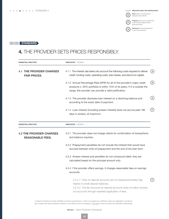LEGEND: INDICATOR LEVEL FOR CERTIFICATION\* Entry: Minimum requirements for (E) adequate client protection



**Advanced:** Advanced requirements<br>for good client protection  $\mathbf{A}$ 

#### **HIIIIIIII STANDARD**

# 4. THE PROVIDER SETS PRICES RESPONSIBLY.

| <b>ESSENTIAL PRACTICE</b>                                  | <b>INDICATOR / DETAILS</b>                                                                                                                                                                                                             |                                                          |
|------------------------------------------------------------|----------------------------------------------------------------------------------------------------------------------------------------------------------------------------------------------------------------------------------------|----------------------------------------------------------|
| <b>4.1 THE PROVIDER CHARGES</b><br><b>FAIR PRICES.</b>     | 4.1.1 The interest rate takes into account the following costs required to deliver<br>credit: funding costs, operating costs, loan losses, and returns to capital.                                                                     | $({\tt A})$                                              |
|                                                            | 4.1.2 Annual Percentage Rate (APR) for all of the provider's major credit<br>products (> 20% portfolio) is within 15% of its peers. If it is outside the<br>range, the provider can provide a valid justification.                     | $(\mathsf{e})$                                           |
|                                                            | 4.1.3 The provider discloses loan interest on a declining balance and<br>according to the exact date of payment.                                                                                                                       | $({\small \texttt{A}})$                                  |
|                                                            | 4.1.4 Loan interest (including arrears interest) does not accrue past 180<br>days in arrears, at maximum.                                                                                                                              | $\left( \begin{array}{c} \mathbf{P} \end{array} \right)$ |
| <b>ESSENTIAL PRACTICE</b>                                  | <b>INDICATOR / DETAILS</b>                                                                                                                                                                                                             |                                                          |
| <b>4.2 THE PROVIDER CHARGES</b><br><b>REASONABLE FEES.</b> | 4.2.1 The provider does not charge clients for confirmation of transactions<br>and balance inquiries.                                                                                                                                  |                                                          |
|                                                            | 4.2.2 Prepayment penalities do not include the interest that would have<br>accrued between time of prepayment and the end of the loan term.                                                                                            |                                                          |
|                                                            | 4.2.3 Arrears interest and penalties do not compound debt; they are<br>calculated based on the principal amount only.                                                                                                                  |                                                          |
|                                                            | 4.2.4 f the provider offers savings, it charges reasonable fees on savings<br>accounts.                                                                                                                                                |                                                          |
|                                                            | 4.2.4.1 Fees on deposit accounts are not disproportionately high<br>relative to small deposit balances.<br>4.2.4.2 The fee structure for deposit accounts does not allow zeroing<br>out accounts through repeated application of fees. | P.                                                       |

\*A subset of indicators has been identified as minimum requirements: in order to be granted any certification result, the organization must first be fully compliant with these mandatory indicators, to the letter and with no exceptions. [Click here](https://sptf.info/images/Client_Protection_Certification_framework_final.pdf) to read more about the certification methodology.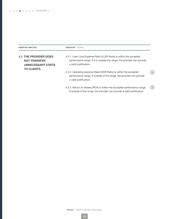| <b>ESSENTIAL PRACTICE</b>                                                       | <b>INDICATOR / DETAILS</b>                                                                                                                                             |              |
|---------------------------------------------------------------------------------|------------------------------------------------------------------------------------------------------------------------------------------------------------------------|--------------|
| <b>4.3 THE PROVIDER DOES</b><br><b>NOT TRANSFER</b><br><b>UNNECESSARY COSTS</b> | 4.3.1 Loan Loss Expense Ratio (LLER Ratio) is within the accepted<br>performance range. If it is outside the range, the provider can provide<br>a valid justification. |              |
| <b>TO CLIENTS.</b>                                                              | 4.3.2 Operating expense Ratio (OER Ratio) is within the accepted<br>performance range. If outside of the range, the provider can provide<br>a valid justification.     | E            |
|                                                                                 | 4.3.3 Return on Assets (ROA) is within the accepted performance range.<br>If outside of the range, the provider can provide a valid justification.                     | $\mathbb{A}$ |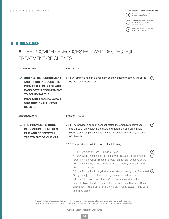Entry: Minimum requirements for ( E ) adequate client protection

 $\mathbf{A}$ 

**Progress:** More rigorous requirements  $\bigodot$ to demonstrate progress toward advanced practice

> Advanced: Advanced requirements for good client protection

## **IIIIIIIII STANDARD**

# 5. THE PROVIDER ENFORCES FAIR AND RESPECTFUL TREATMENT OF CLIENTS.

| <b>ESSENTIAL PRACTICE</b>                                                                                                                                                                                                                              | <b>INDICATOR / DETAILS</b>                                                                                                                                                                                                                                                                                                                                                                                   |                   |
|--------------------------------------------------------------------------------------------------------------------------------------------------------------------------------------------------------------------------------------------------------|--------------------------------------------------------------------------------------------------------------------------------------------------------------------------------------------------------------------------------------------------------------------------------------------------------------------------------------------------------------------------------------------------------------|-------------------|
| <b>5.1 DURING THE RECRUITMENT</b><br><b>AND HIRING PROCESS, THE</b><br><b>PROVIDER ASSESSES EACH</b><br><b>CANDIDATE'S COMMITMENT</b><br><b>TO ACHIEVING THE</b><br><b>PROVIDER'S SOCIAL GOALS</b><br><b>AND SERVING ITS TARGET</b><br><b>CLIENTS.</b> | 5.1.1 All employees sign a document acknowledging that they will abide<br>by the Code of Conduct.                                                                                                                                                                                                                                                                                                            | $\lceil P \rceil$ |
| <b>ESSENTIAL PRACTICE</b>                                                                                                                                                                                                                              | <b>INDICATOR / DETAILS</b>                                                                                                                                                                                                                                                                                                                                                                                   |                   |
| <b>5.2 THE PROVIDER'S CODE</b><br>OF CONDUCT REQUIRES<br><b>FAIR AND RESPECTFUL</b><br><b>TREATMENT OF CLIENTS.</b>                                                                                                                                    | 5.2.1 The provider's code of conduct states the organizational values,<br>standards of professional conduct, and treatment of clients that it<br>expects of all employees, and defines the sanctions to apply in case<br>of a breach.                                                                                                                                                                        | P.                |
|                                                                                                                                                                                                                                                        | 5.2.2 The provider's policies prohibit the following:                                                                                                                                                                                                                                                                                                                                                        |                   |
|                                                                                                                                                                                                                                                        | 5.2.2.1 Corruption, theft, kickbacks, fraud.<br>5.2.2.2 Client intimidation: using abusive language, using physical<br>force, limiting physical freedom, sexual harassment, shouting at the<br>client, entering the client's home uninvited, publicly humiliating the<br>client, using threats.                                                                                                              |                   |
|                                                                                                                                                                                                                                                        | 5.2.2.3 Discrimination against all internationally recognized Protected<br>Categories. [Note: Protected Categories are as follows: People over<br>40 years old; Sex; Race/ethnicity/national extraction/social origin /<br>caste; Religion; Health status, including HIV status; Disability; Sexual<br>orientation; Political affiliation/opinion; Civil/marital status; Participation<br>in a trade union.] | ( E )             |

\*A subset of indicators has been identified as minimum requirements: in order to be granted any certification result, the organization must first be fully compliant with these mandatory indicators, to the letter and with no exceptions. [Click here](https://sptf.info/images/Client_Protection_Certification_framework_final.pdf) to read more about the certification methodology.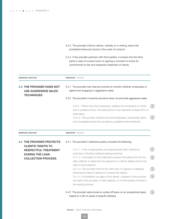|                                                                                    | prohibited behaviors found in the code of conduct.                                                                                                                                                                                            |                       |
|------------------------------------------------------------------------------------|-----------------------------------------------------------------------------------------------------------------------------------------------------------------------------------------------------------------------------------------------|-----------------------|
|                                                                                    | 5.2.4 If the provider partners with third parties, it reviews the the third<br>party's code of conduct prior to signing a contract to check for<br>commitment to fair and respectful treatment of clients.                                    |                       |
| <b>ESSENTIAL PRACTICE</b>                                                          | <b>INDICATOR / DETAILS</b>                                                                                                                                                                                                                    |                       |
| 5.3 THE PROVIDER DOES NOT<br><b>USE AGGRESSIVE SALES</b><br><b>TECHNIQUES.</b>     | 5.3.1 The provider has internal controls to monitor whether employees or<br>agents are engaging in aggressive sales.                                                                                                                          |                       |
|                                                                                    | 5.3.2 The provider's incentive structure does not promote aggressive sales.                                                                                                                                                                   |                       |
|                                                                                    | 5.3.2.1 When front-line employees' salaries are comprised of a fixed<br>and a variable portion, the fixed portion must represent at least 50% of<br>total salary.                                                                             | ( E )                 |
|                                                                                    | 5.3.2.2 The provider monitors front-line employees' productivity ratios<br>and investigates those that are above a predetermined threshold.                                                                                                   | ( ≡ )                 |
| <b>ESSENTIAL PRACTICE</b>                                                          | <b>INDICATOR / DETAILS</b>                                                                                                                                                                                                                    |                       |
| <b>5.4 THE PROVIDER PROTECTS</b>                                                   | 5.4.1 The provider's collections policy includes the following:                                                                                                                                                                               |                       |
| <b>CLIENTS' RIGHTS TO</b><br><b>RESPECTFUL TREATMENT</b><br><b>DURING THE LOAN</b> | 5.4.1.1 A list of appropriate and inappropriate debt collections<br>practices, including collateral seizing practices.                                                                                                                        | $(\; \mathsf{P} \; )$ |
| <b>COLLECTION PROCESS.</b>                                                         | 5.4.1.2 A schedule for the collections process that allows time for the<br>debt collector to determine the reasons for a client's default and for the<br>client to find solutions.                                                            | $(\mathsf{e})$        |
|                                                                                    | 5.4.1.3 The provider informs the client prior to seizure of collateral,                                                                                                                                                                       | $(\mathsf{E})$        |
|                                                                                    | allowing the client to attempt to remedy the default.<br>5.4.1.4 A prohibition on sales of the clients' collateral to the provider,<br>the staff of the provider, to their relatives, or to third parties involved in<br>the seizing process. | ( ≡ )                 |
|                                                                                    | 5.4.2 The provider restructures or writes off loans on an exceptional basis,<br>based on a list of cases of specific distress.                                                                                                                | [E)                   |

5.2.3 The provider informs clients, verbally or in writing, about the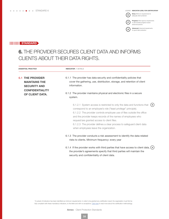Entry: Minimum requirements for (E)

 $(\overline{P})$ 

 $\mathbf{A}$ 

adequate client protection

**Progress:** More rigorous requirements to demonstrate progress toward advanced practice

Advanced: Advanced requirements for good client protection

## **IIIIIIIII STANDARD**

# 6. THE PROVIDER SECURES CLIENT DATA AND INFORMS CLIENTS ABOUT THEIR DATA RIGHTS.

|     | <b>ESSENTIAL PRACTICE</b>                                                                                       | <b>INDICATOR / DETAILS</b>                                                                                                                                                                                                                                                                                                                                                                                                                                      |
|-----|-----------------------------------------------------------------------------------------------------------------|-----------------------------------------------------------------------------------------------------------------------------------------------------------------------------------------------------------------------------------------------------------------------------------------------------------------------------------------------------------------------------------------------------------------------------------------------------------------|
| 6.1 | <b>THE PROVIDER</b><br><b>MAINTAINS THE</b><br><b>SECURITY AND</b><br><b>CONFIDENTIALITY</b><br>OF CLIENT DATA. | 6.1.1 The provider has data security and confidentiality policies that<br>cover the gathering, use, distribution, storage, and retention of client<br>information.<br>6.1.2 The provider maintains physical and electronic files in a secure<br>system.                                                                                                                                                                                                         |
|     |                                                                                                                 | 6.1.2.1 System access is restricted to only the data and functions that<br>( E )<br>correspond to an employee's role ("least privilege" principle).<br>6.1.2.2 The provider controls employee use of files outside the office<br>and the provider keeps records of the names of employees who<br>request/are granted access to client files.<br>6.1.2.3 The provider defines a clear process to safeguard client data<br>when employees leave the organization. |
|     |                                                                                                                 | 6.1.3 The provider conducts a risk assessment to identify the data-related<br>risks to clients. Minimum frequency: every year                                                                                                                                                                                                                                                                                                                                   |
|     |                                                                                                                 | 6.1.4 If the provider works with third parties that have access to client data, $(A)$<br>the provider's agreements specify that third parties will maintain the<br>security and confidentiality of client data.                                                                                                                                                                                                                                                 |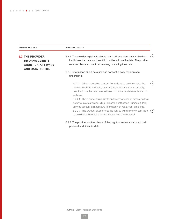ESSENTIAL PRACTICE **INDICATOR** / DETAILS

6.2 THE PROVIDER INFORMS CLIENTS ABOUT DATA PRIVACY AND DATA RIGHTS.

 $(E)$ 6.2.1 The provider explains to clients how it will use client data, with whom it will share the data, and how third parties will use the data. The provider receives clients' consent before using or sharing their data.

6.2.2 Information about data use and consent is easy for clients to understand.

6.2.2.1 When requesting consent from clients to use their data, the  $(A)$ provider explains in simple, local language, either in writing or orally, how it will use the data. Internet links to disclosure statements are not sufficient.

6.2.2.2 The provider trains clients on the importance of protecting their personal information including Personal Identification Numbers (PINs), savings account balances and information on repayment problems. 6.2.2.3 The provider gives clients the right to withdraw their permission  $(A)$ to use data and explains any consequences of withdrawal.

6.2.3 The provider notifies clients of their right to review and correct their personal and financial data.

**Annex** - Client Protection Standards

**17**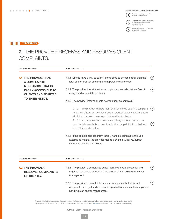Entry: Minimum requirements for ( E ) adequate client protection

 $\bigodot$ 

 $\mathbf{A}$ 

Progress: More rigorous requirements to demonstrate progress toward

advanced practice **Advanced:** Advanced requirements<br>for good client protection

## **IIIIIIIII STANDARD**

# 7. THE PROVIDER RECEIVES AND RESOLVES CLIENT COMPLAINTS.

|  | <b>ESSENTIAL PRACTICE</b>                                                                                                                                                      | <b>INDICATOR / DETAILS</b>                                                                                                                                                                                        |              |
|--|--------------------------------------------------------------------------------------------------------------------------------------------------------------------------------|-------------------------------------------------------------------------------------------------------------------------------------------------------------------------------------------------------------------|--------------|
|  | <b>7.1 THE PROVIDER HAS</b><br><b>A COMPLAINTS</b>                                                                                                                             | 7.1.1 Clients have a way to submit complaints to persons other than their<br>loan officer/product officer and that person's supervisor.                                                                           | (E)          |
|  | <b>MECHANISM THAT IS</b><br><b>EASILY ACCESSIBLE TO</b><br><b>CLIENTS AND ADAPTED</b>                                                                                          | 7.1.2 The provider has at least two complaints channels that are free of<br>charge and accessible to clients.                                                                                                     | (≡)          |
|  | <b>TO THEIR NEEDS.</b>                                                                                                                                                         | 7.1.3 The provider informs clients how to submit a complaint.                                                                                                                                                     |              |
|  |                                                                                                                                                                                | 7.1.3.1 The provider displays information on how to submit a complaint<br>in branch offices, at agent locations, in product documentation, and in<br>all digital channels it uses to provide services to clients. | (E)          |
|  | 7.1.3.2 At the time when clients are applying to use a product, the<br>provider informs clients on how to submit a complaint both to itself and<br>to any third party partner. | $\left( \begin{matrix} A \end{matrix} \right)$                                                                                                                                                                    |              |
|  |                                                                                                                                                                                | 7.1.4 If the complaint mechanism initially handles complaints through<br>automated means, the provider makes a channel with live, human<br>interaction available to clients.                                      |              |
|  | <b>ESSENTIAL PRACTICE</b>                                                                                                                                                      | <b>INDICATOR / DETAILS</b>                                                                                                                                                                                        |              |
|  | <b>7.2 THE PROVIDER</b><br><b>RESOLVES COMPLAINTS</b><br><b>EFFICIENTLY.</b>                                                                                                   | 7.2.1 The provider's complaints policy identifies levels of severity and<br>requires that severe complaints are escalated immediately to senior<br>management.                                                    | $\mathbf{A}$ |
|  |                                                                                                                                                                                | 7.2.2 The provider's complaints mechanism ensures that all formal<br>complaints are registered in a secure system that reaches the complaints<br>handling staff and/or management.                                | $\mathbf{A}$ |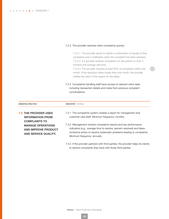$\bullet \bullet \bullet \bullet \bullet \bullet \bullet$  STANDARD 7

#### 7.2.3 The provider resolves client complaints quickly.

7.2.3.1 The provider sends to clients a confirmation of receipt of their complaints and a notification when the complaint has been resolved. 7.2.3.2 If a provider receives complaints via call centers or chat, it monitors the average wait time.

7.2.3.3 The provider resolves at least 90% of complaints within one month. If the resolution takes longer than one month, the provider notifies the client of the reason for the delay.

 $\binom{A}{A}$ 

7.2.4 Complaints handling staff have access to relevant client data, including transaction details and notes from previous complaint conversations.

| <b>ESSENTIAL PRACTICE</b>    | <b>INDICATOR / DETAILS</b>                                                        |  |
|------------------------------|-----------------------------------------------------------------------------------|--|
| <b>7.3 THE PROVIDER USES</b> | 7.3.1 The complaints system creates a report for management and                   |  |
| <b>INFORMATION FROM</b>      | customer care staff. Minimum frequency: monthly                                   |  |
| <b>COMPLAINTS TO</b>         | 7.3.2 Management reviews complaints reports and key performance                   |  |
| <b>MANAGE OPERATIONS</b>     | indicators (e.g., average time to resolve, percent resolved) and takes            |  |
| <b>AND IMPROVE PRODUCT</b>   | corrective action to resolve systematic problems leading to complaints.           |  |
| AND SERVICE QUALITY.         | Minimum frequency: annually                                                       |  |
|                              | 7.3.3 If the provider partners with third parties, the provider helps its clients |  |

to resolve complaints they have with those third parties.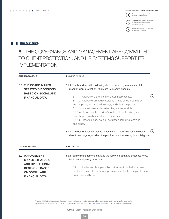Entry: Minimum requirements for (E)

 $\left( P \right)$ 

 $\boldsymbol{\mathsf{A}}$ 

adequate client protection

**Progress:** More rigorous requirements to demonstrate progress toward advanced practice

Advanced: Advanced requirements for good client protection

## **IIIIIIIIII STANDARD**

# 8. THE GOVERNANCE AND MANAGEMENT ARE COMMITTED TO CLIENT PROTECTION, AND HR SYSTEMS SUPPORT ITS IMPLEMENTATION.

| <b>ESSENTIAL PRACTICE</b>                                                                                                                             | <b>INDICATOR / DETAILS</b>                                                                                                                                                                                                                                                                                                                                                                                                                                              |
|-------------------------------------------------------------------------------------------------------------------------------------------------------|-------------------------------------------------------------------------------------------------------------------------------------------------------------------------------------------------------------------------------------------------------------------------------------------------------------------------------------------------------------------------------------------------------------------------------------------------------------------------|
| <b>8.1 THE BOARD MAKES</b><br><b>STRATEGIC DECISIONS</b>                                                                                              | 8.1.1 The board uses the following data, provided by management, to<br>monitor client protection. Minimum frequency: annually                                                                                                                                                                                                                                                                                                                                           |
| <b>BASED ON SOCIAL AND</b><br><b>FINANCIAL DATA.</b>                                                                                                  | 8.1.1.1 Analysis of the risk of client over-indebtedness.<br>8.1.1.2 Analysis of client dissatisfaction: rates of client dormancy<br>and drop-out, results of exit surveys, and client complaints.<br>8.1.1.3 Interest rates and whether they are responsible.<br>8.1.1.4 Reports on the provider's systems for data privacy and<br>security, particularly any failures or breeches.<br>8.1.1.5 Reports on any fraud or corruption, including extorsion<br>and bribery. |
|                                                                                                                                                       | $\Delta$<br>8.1.2 The board takes corrective action when it identifies risks to clients,<br>risks to employees, or when the provider is not achieving its social goals.                                                                                                                                                                                                                                                                                                 |
| <b>ESSENTIAL PRACTICE</b>                                                                                                                             | <b>INDICATOR / DETAILS</b>                                                                                                                                                                                                                                                                                                                                                                                                                                              |
| <b>8.2 MANAGEMENT</b><br><b>MAKES STRATEGIC</b><br><b>AND OPERATIONAL</b><br><b>DECISIONS BASED</b><br><b>ON SOCIAL AND</b><br><b>FINANCIAL DATA.</b> | 8.2.1 Senior management analyzes the following data and assesses risks.<br>Minimum frequency: annually<br>8.2.1.1 Analysis of client protection risks (over-indebtedness, unfair<br>treatment, lack of transparency, privacy of client data, complaints, fraud,<br>corruption and bribery).                                                                                                                                                                             |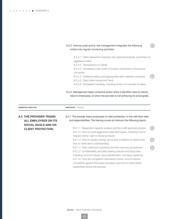| 8.2.2 Internal audit and/or risk management integrates the following<br>criteria into regular monitoring activities: |    |
|----------------------------------------------------------------------------------------------------------------------|----|
| 8.2.2.1 Client repayment capacity, loan approval analysis, prevention of<br>aggressive sales                         |    |
| 8.2.2.2 Transparency to clients                                                                                      |    |
| 8.2.2.3 Compliance with code of conduct; prevention of fraud and                                                     |    |
| corruption                                                                                                           |    |
| 8.2.2.4 Collateral seizing and appropriate debt collection practices                                                 | P. |
| 8.2.2.5 Client data misuse and fraud                                                                                 |    |
| 8.2.2.6 Complaints handling, including review of a sample of cases                                                   |    |

#### 8.2.3 Management takes corrective action when it identifies risks to clients, risks to employees, or when the provider is not achieving its social goals.

| <b>ESSENTIAL PRACTICE</b> |                                                         | <b>INDICATOR / DETAILS</b>                                                                                                                                                                                                                                                |     |
|---------------------------|---------------------------------------------------------|---------------------------------------------------------------------------------------------------------------------------------------------------------------------------------------------------------------------------------------------------------------------------|-----|
|                           | <b>8.3 THE PROVIDER TRAINS</b><br>ALL EMPLOYEES ON ITS  | 8.3.1 The provider trains employees on client protection, in line with their roles<br>and responsibilities. The training covers at minimum the following topics:                                                                                                          |     |
|                           | <b>SOCIAL GOALS AND ON</b><br><b>CLIENT PROTECTION.</b> | 8.3.1.1 Repayment capacity analysis and the credit approval process<br>8.3.1.2 How to avoid aggressive sales techniques, including how to                                                                                                                                 | (P) |
|                           |                                                         | respect clients' right to refuse products<br>8.3.1.3 How to explain pricing, terms and conditions to clients and<br>how to verify client understanding                                                                                                                    | [P] |
|                           |                                                         | 8.3.1.4 Debt collections practices and loan recovery procedures<br>8.3.1.5 Confidentiality and data sharing policies and fraud risks,<br>including common frauds, fraud identification, and fraud reporting<br>8.3.1.6 How the complaints mechanism works, how to resolve | P   |
|                           |                                                         | complaints against third party providers, and how to treat clients<br>respectfully during the process                                                                                                                                                                     |     |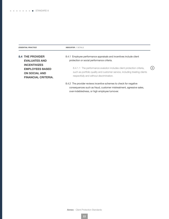**ESSENTIAL PRACTICE INDICATOR / DETAILS** 

| <b>8.4 THE PROVIDER</b><br><b>EVALUATES AND</b>                                                     | 8.4.1 Employee performance appraisals and incentives include client<br>protection or social performance criteria.                                                                                |     |
|-----------------------------------------------------------------------------------------------------|--------------------------------------------------------------------------------------------------------------------------------------------------------------------------------------------------|-----|
| <b>INCENTIVIZES</b><br><b>EMPLOYEES BASED</b><br><b>ON SOCIAL AND</b><br><b>FINANCIAL CRITERIA.</b> | 8.4.1.1 The performance evalution includes client protection criteria,<br>such as portfolio quality and customer service, including treating clients<br>respectfully and without discrimination. | (A) |
|                                                                                                     | 8.4.2 The provider reviews incentive schemes to check for negative<br>consequences such as fraud, customer mistreatment, agressive sales,                                                        |     |

over-indebtedness, or high employee turnover.

Annex - Client Protection Standards

**22**